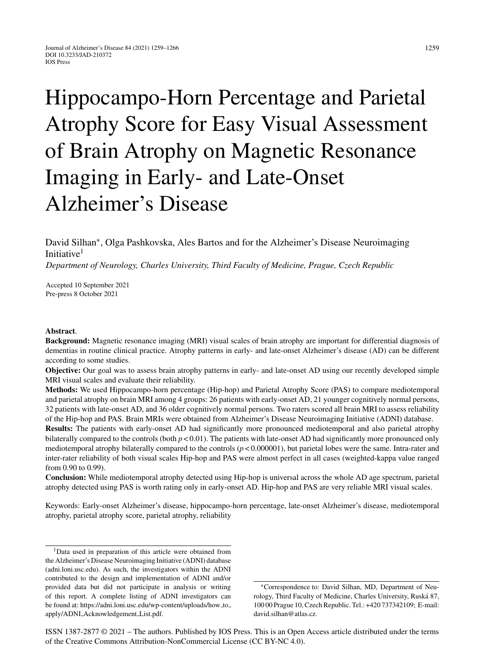# Hippocampo-Horn Percentage and Parietal Atrophy Score for Easy Visual Assessment of Brain Atrophy on Magnetic Resonance Imaging in Early- and Late-Onset Alzheimer's Disease

# David Silhan∗, Olga Pashkovska, Ales Bartos and for the Alzheimer's Disease Neuroimaging Initiative<sup>1</sup>

*Department of Neurology, Charles University, Third Faculty of Medicine, Prague, Czech Republic*

Accepted 10 September 2021 Pre-press 8 October 2021

#### **Abstract**.

**Background:** Magnetic resonance imaging (MRI) visual scales of brain atrophy are important for differential diagnosis of dementias in routine clinical practice. Atrophy patterns in early- and late-onset Alzheimer's disease (AD) can be different according to some studies.

**Objective:** Our goal was to assess brain atrophy patterns in early- and late-onset AD using our recently developed simple MRI visual scales and evaluate their reliability.

**Methods:** We used Hippocampo-horn percentage (Hip-hop) and Parietal Atrophy Score (PAS) to compare mediotemporal and parietal atrophy on brain MRI among 4 groups: 26 patients with early-onset AD, 21 younger cognitively normal persons, 32 patients with late-onset AD, and 36 older cognitively normal persons. Two raters scored all brain MRI to assess reliability of the Hip-hop and PAS. Brain MRIs were obtained from Alzheimer's Disease Neuroimaging Initiative (ADNI) database.

**Results:** The patients with early-onset AD had significantly more pronounced mediotemporal and also parietal atrophy bilaterally compared to the controls (both  $p < 0.01$ ). The patients with late-onset AD had significantly more pronounced only mediotemporal atrophy bilaterally compared to the controls  $(p < 0.000001)$ , but parietal lobes were the same. Intra-rater and inter-rater reliability of both visual scales Hip-hop and PAS were almost perfect in all cases (weighted-kappa value ranged from 0.90 to 0.99).

**Conclusion:** While mediotemporal atrophy detected using Hip-hop is universal across the whole AD age spectrum, parietal atrophy detected using PAS is worth rating only in early-onset AD. Hip-hop and PAS are very reliable MRI visual scales.

Keywords: Early-onset Alzheimer's disease, hippocampo-horn percentage, late-onset Alzheimer's disease, mediotemporal atrophy, parietal atrophy score, parietal atrophy, reliability

ISSN 1387-2877 © 2021 – The authors. Published by IOS Press. This is an Open Access article distributed under the terms of the [Creative Commons Attribution-NonCommercial License \(CC BY-NC 4.0\).](https://creativecommons.org/licenses/by-nc/4.0/)

<sup>&</sup>lt;sup>1</sup>Data used in preparation of this article were obtained from the Alzheimer's Disease Neuroimaging Initiative (ADNI) database (adni.loni.usc.edu). As such, the investigators within the ADNI contributed to the design and implementation of ADNI and/or provided data but did not participate in analysis or writing of this report. A complete listing of ADNI investigators can be found at: [https://adni.loni.usc.edu/wp-content/uploads/how](https://adni.loni.usc.edu/wp-content/uploads/how_to_ apply/ADNI_Acknowledgement_List.pdf) to apply/ADNI Acknowledgement List.pdf.

<sup>∗</sup>Correspondence to: David Silhan, MD, Department of Neurology, Third Faculty of Medicine, Charles University, Ruska 87, ´ 100 00 Prague 10, Czech Republic. Tel.: +420 737342109; E-mail: [david.silhan@atlas.cz](mailto:david.silhan@atlas.cz).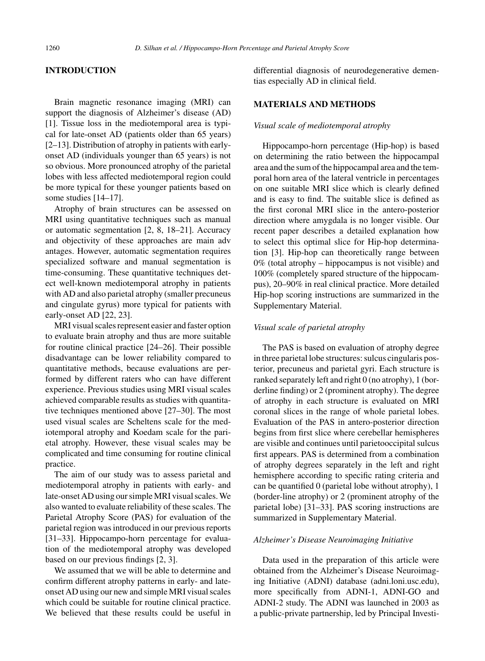#### **INTRODUCTION**

Brain magnetic resonance imaging (MRI) can support the diagnosis of Alzheimer's disease (AD) [1]. Tissue loss in the mediotemporal area is typical for late-onset AD (patients older than 65 years) [2–13]. Distribution of atrophy in patients with earlyonset AD (individuals younger than 65 years) is not so obvious. More pronounced atrophy of the parietal lobes with less affected mediotemporal region could be more typical for these younger patients based on some studies [14–17].

Atrophy of brain structures can be assessed on MRI using quantitative techniques such as manual or automatic segmentation [2, 8, 18–21]. Accuracy and objectivity of these approaches are main adv antages. However, automatic segmentation requires specialized software and manual segmentation is time-consuming. These quantitative techniques detect well-known mediotemporal atrophy in patients with AD and also parietal atrophy (smaller precuneus and cingulate gyrus) more typical for patients with early-onset AD [22, 23].

MRI visual scales represent easier and faster option to evaluate brain atrophy and thus are more suitable for routine clinical practice [24–26]. Their possible disadvantage can be lower reliability compared to quantitative methods, because evaluations are performed by different raters who can have different experience. Previous studies using MRI visual scales achieved comparable results as studies with quantitative techniques mentioned above [27–30]. The most used visual scales are Scheltens scale for the mediotemporal atrophy and Koedam scale for the parietal atrophy. However, these visual scales may be complicated and time consuming for routine clinical practice.

The aim of our study was to assess parietal and mediotemporal atrophy in patients with early- and late-onset AD using our simple MRI visual scales. We also wanted to evaluate reliability of these scales. The Parietal Atrophy Score (PAS) for evaluation of the parietal region was introduced in our previous reports [31–33]. Hippocampo-horn percentage for evaluation of the mediotemporal atrophy was developed based on our previous findings [2, 3].

We assumed that we will be able to determine and confirm different atrophy patterns in early- and lateonset AD using our new and simple MRI visual scales which could be suitable for routine clinical practice. We believed that these results could be useful in

differential diagnosis of neurodegenerative dementias especially AD in clinical field.

## **MATERIALS AND METHODS**

#### *Visual scale of mediotemporal atrophy*

Hippocampo-horn percentage (Hip-hop) is based on determining the ratio between the hippocampal area and the sum of the hippocampal area and the temporal horn area of the lateral ventricle in percentages on one suitable MRI slice which is clearly defined and is easy to find. The suitable slice is defined as the first coronal MRI slice in the antero-posterior direction where amygdala is no longer visible. Our recent paper describes a detailed explanation how to select this optimal slice for Hip-hop determination [3]. Hip-hop can theoretically range between 0% (total atrophy – hippocampus is not visible) and 100% (completely spared structure of the hippocampus), 20–90% in real clinical practice. More detailed Hip-hop scoring instructions are summarized in the Supplementary Material.

#### *Visual scale of parietal atrophy*

The PAS is based on evaluation of atrophy degree in three parietal lobe structures: sulcus cingularis posterior, precuneus and parietal gyri. Each structure is ranked separately left and right 0 (no atrophy), 1 (borderline finding) or 2 (prominent atrophy). The degree of atrophy in each structure is evaluated on MRI coronal slices in the range of whole parietal lobes. Evaluation of the PAS in antero-posterior direction begins from first slice where cerebellar hemispheres are visible and continues until parietooccipital sulcus first appears. PAS is determined from a combination of atrophy degrees separately in the left and right hemisphere according to specific rating criteria and can be quantified 0 (parietal lobe without atrophy), 1 (border-line atrophy) or 2 (prominent atrophy of the parietal lobe) [31–33]. PAS scoring instructions are summarized in Supplementary Material.

#### *Alzheimer's Disease Neuroimaging Initiative*

Data used in the preparation of this article were obtained from the Alzheimer's Disease Neuroimaging Initiative (ADNI) database (adni.loni.usc.edu), more specifically from ADNI-1, ADNI-GO and ADNI-2 study. The ADNI was launched in 2003 as a public-private partnership, led by Principal Investi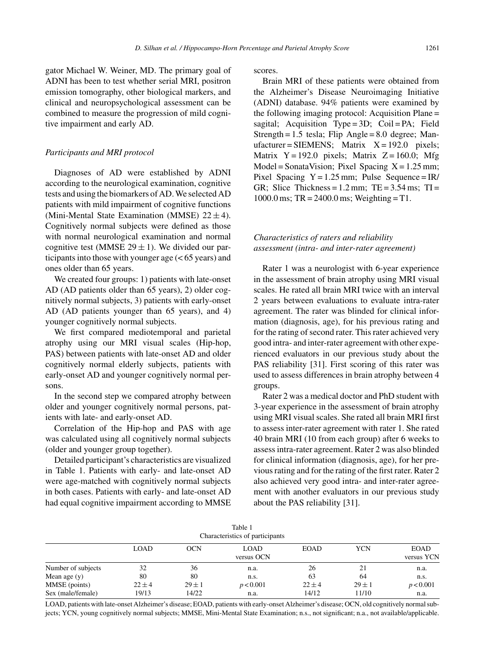gator Michael W. Weiner, MD. The primary goal of ADNI has been to test whether serial MRI, positron emission tomography, other biological markers, and clinical and neuropsychological assessment can be combined to measure the progression of mild cognitive impairment and early AD.

#### *Participants and MRI protocol*

Diagnoses of AD were established by ADNI according to the neurological examination, cognitive tests and using the biomarkers of AD. We selected AD patients with mild impairment of cognitive functions (Mini-Mental State Examination (MMSE)  $22 \pm 4$ ). Cognitively normal subjects were defined as those with normal neurological examination and normal cognitive test (MMSE  $29 \pm 1$ ). We divided our participants into those with younger age (< 65 years) and ones older than 65 years.

We created four groups: 1) patients with late-onset AD (AD patients older than 65 years), 2) older cognitively normal subjects, 3) patients with early-onset AD (AD patients younger than 65 years), and 4) younger cognitively normal subjects.

We first compared mediotemporal and parietal atrophy using our MRI visual scales (Hip-hop, PAS) between patients with late-onset AD and older cognitively normal elderly subjects, patients with early-onset AD and younger cognitively normal persons.

In the second step we compared atrophy between older and younger cognitively normal persons, patients with late- and early-onset AD.

Correlation of the Hip-hop and PAS with age was calculated using all cognitively normal subjects (older and younger group together).

Detailed participant's characteristics are visualized in Table 1. Patients with early- and late-onset AD were age-matched with cognitively normal subjects in both cases. Patients with early- and late-onset AD had equal cognitive impairment according to MMSE scores.

Brain MRI of these patients were obtained from the Alzheimer's Disease Neuroimaging Initiative (ADNI) database. 94% patients were examined by the following imaging protocol: Acquisition Plane = sagital; Acquisition Type =  $3D$ ; Coil = PA; Field Strength =  $1.5$  tesla; Flip Angle =  $8.0$  degree; Manufacturer = SIEMENS; Matrix  $X = 192.0$  pixels; Matrix  $Y = 192.0$  pixels; Matrix  $Z = 160.0$ ; Mfg  $Model = SonataVision; \text{ } \text{Fixed} \text{ } Spacing \text{ } X = 1.25 \text{ mm};$ Pixel Spacing  $Y = 1.25$  mm; Pulse Sequence = IR/ GR; Slice Thickness =  $1.2$  mm; TE =  $3.54$  ms; TI = 1000.0 ms; TR = 2400.0 ms; Weighting = T1.

## *Characteristics of raters and reliability assessment (intra- and inter-rater agreement)*

Rater 1 was a neurologist with 6-year experience in the assessment of brain atrophy using MRI visual scales. He rated all brain MRI twice with an interval 2 years between evaluations to evaluate intra-rater agreement. The rater was blinded for clinical information (diagnosis, age), for his previous rating and for the rating of second rater. This rater achieved very good intra- and inter-rater agreement with other experienced evaluators in our previous study about the PAS reliability [31]. First scoring of this rater was used to assess differences in brain atrophy between 4 groups.

Rater 2 was a medical doctor and PhD student with 3-year experience in the assessment of brain atrophy using MRI visual scales. She rated all brain MRI first to assess inter-rater agreement with rater 1. She rated 40 brain MRI (10 from each group) after 6 weeks to assess intra-rater agreement. Rater 2 was also blinded for clinical information (diagnosis, age), for her previous rating and for the rating of the first rater. Rater 2 also achieved very good intra- and inter-rater agreement with another evaluators in our previous study about the PAS reliability [31].

|                    |             |            | Table 1<br>Characteristics of participants |             |            |                           |
|--------------------|-------------|------------|--------------------------------------------|-------------|------------|---------------------------|
|                    | <b>LOAD</b> | <b>OCN</b> | <b>LOAD</b><br>versus OCN                  | <b>EOAD</b> | <b>YCN</b> | <b>EOAD</b><br>versus YCN |
| Number of subjects | 32          | 36         | n.a.                                       | 26          | 21         | n.a.                      |
| Mean age $(y)$     | 80          | 80         | n.s.                                       | 63          | 64         | n.s.                      |
| MMSE (points)      | $22 \pm 4$  | $29 \pm 1$ | p < 0.001                                  | $22 \pm 4$  | $29 \pm 1$ | p < 0.001                 |
| Sex (male/female)  | 19/13       | 14/22      | n.a.                                       | 14/12       | 11/10      | n.a.                      |

LOAD, patients with late-onset Alzheimer's disease; EOAD, patients with early-onset Alzheimer's disease; OCN, old cognitively normal subjects; YCN, young cognitively normal subjects; MMSE, Mini-Mental State Examination; n.s., not significant; n.a., not available/applicable.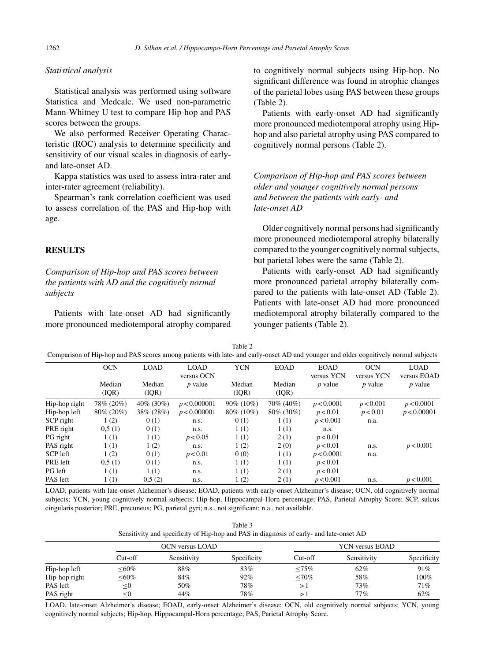## *Statistical analysis*

Statistical analysis was performed using software Statistica and Medcalc. We used non-parametric Mann-Whitney U test to compare Hip-hop and PAS scores between the groups.

We also performed Receiver Operating Characteristic (ROC) analysis to determine specificity and sensitivity of our visual scales in diagnosis of earlyand late-onset AD.

Kappa statistics was used to assess intra-rater and inter-rater agreement (reliability).

Spearman's rank correlation coefficient was used to assess correlation of the PAS and Hip-hop with age.

#### **RESULTS**

*Comparison of Hip-hop and PAS scores between the patients with AD and the cognitively normal subjects*

Patients with late-onset AD had significantly more pronounced mediotemporal atrophy compared to cognitively normal subjects using Hip-hop. No significant difference was found in atrophic changes of the parietal lobes using PAS between these groups (Table 2).

Patients with early-onset AD had significantly more pronounced mediotemporal atrophy using Hiphop and also parietal atrophy using PAS compared to cognitively normal persons (Table 2).

*Comparison of Hip-hop and PAS scores between older and younger cognitively normal persons and between the patients with early- and late-onset AD*

Older cognitively normal persons had significantly more pronounced mediotemporal atrophy bilaterally compared to the younger cognitively normal subjects, but parietal lobes were the same (Table 2).

Patients with early-onset AD had significantly more pronounced parietal atrophy bilaterally compared to the patients with late-onset AD (Table 2). Patients with late-onset AD had more pronounced mediotemporal atrophy bilaterally compared to the younger patients (Table 2).

Table 2 Comparison of Hip-hop and PAS scores among patients with late- and early-onset AD and younger and older cognitively normal subjects

|                | <b>OCN</b>      | <b>LOAD</b>     | <b>LOAD</b><br>versus OCN | <b>YCN</b>      | <b>EOAD</b>      | <b>EOAD</b><br>versus YCN | <b>OCN</b><br>versus YCN | <b>LOAD</b><br>versus EOAD |
|----------------|-----------------|-----------------|---------------------------|-----------------|------------------|---------------------------|--------------------------|----------------------------|
|                | Median<br>(IQR) | Median<br>(IQR) | $p$ value                 | Median<br>(IQR) | Median<br>( IQR) | $p$ value                 | $p$ value                | $p$ value                  |
| Hip-hop right  | 78% (20%)       | $40\%$ (30%)    | p < 0.000001              | $90\%$ (10%)    | 70% (40%)        | p < 0.0001                | p < 0.001                | p < 0.0001                 |
| Hip-hop left   | $80\%$ (20%)    | 38\% (28\%)     | p < 0.000001              | 80\% (10\%)     | 80\% (30\%)      | p < 0.01                  | p < 0.01                 | p < 0.00001                |
| SCP right      | 1(2)            | 0(1)            | n.s.                      | 0(1)            | 1(1)             | p < 0.001                 | n.a.                     |                            |
| PRE right      | 0,5(1)          | 0(1)            | n.s.                      | 1(1)            | 1(1)             | n.s.                      |                          |                            |
| PG right       | 1(1)            | 1(1)            | p < 0.05                  | 1(1)            | 2(1)             | p < 0.01                  |                          |                            |
| PAS right      | 1(1)            | 1(2)            | n.s.                      | 1(2)            | 2(0)             | p < 0.01                  | n.s.                     | p < 0.001                  |
| SCP left       | 1(2)            | 0(1)            | p < 0.01                  | 0(0)            | 1(1)             | p < 0.0001                | n.a.                     |                            |
| PRE left       | 0.5(1)          | 0(1)            | n.s.                      | 1(1)            | 1(1)             | p < 0.01                  |                          |                            |
| <b>PG</b> left | 1(1)            | 1(1)            | n.s.                      | 1(1)            | 2(1)             | p < 0.01                  |                          |                            |
| PAS left       | 1(1)            | 0.5(2)          | n.s.                      | 1(2)            | 2(1)             | p < 0.001                 | n.s.                     | p < 0.001                  |

LOAD, patients with late-onset Alzheimer's disease; EOAD, patients with early-onset Alzheimer's disease; OCN, old cognitively normal subjects; YCN, young cognitively normal subjects; Hip-hop, Hippocampal-Horn percentage; PAS, Parietal Atrophy Score; SCP, sulcus cingularis posterior; PRE, precuneus; PG, parietal gyri; n.s., not significant; n.a., not available.

| Table 3                                                                                 |
|-----------------------------------------------------------------------------------------|
| Sensitivity and specificity of Hip-hop and PAS in diagnosis of early- and late-onset AD |

|               | OCN versus LOAD |             |             | YCN versus EOAD |             |             |  |
|---------------|-----------------|-------------|-------------|-----------------|-------------|-------------|--|
|               | Cut-off         | Sensitivity | Specificity | $Cut-off$       | Sensitivity | Specificity |  |
| Hip-hop left  | $< 60\%$        | 88%         | 83%         | $< 75\%$        | 62%         | 91%         |  |
| Hip-hop right | $< 60\%$        | 84%         | 92%         | ${<}70\%$       | 58%         | 100%        |  |
| PAS left      | $\leq$ 0        | 50%         | 78%         | >∣              | 73%         | 71%         |  |
| PAS right     | < 0             | 44%         | 78%         |                 | 77%         | 62%         |  |

LOAD, late-onset Alzheimer's disease; EOAD, early-onset Alzheimer's disease; OCN, old cognitively normal subjects; YCN, young cognitively normal subjects; Hip-hop, Hippocampal-Horn percentage; PAS, Parietal Atrophy Score.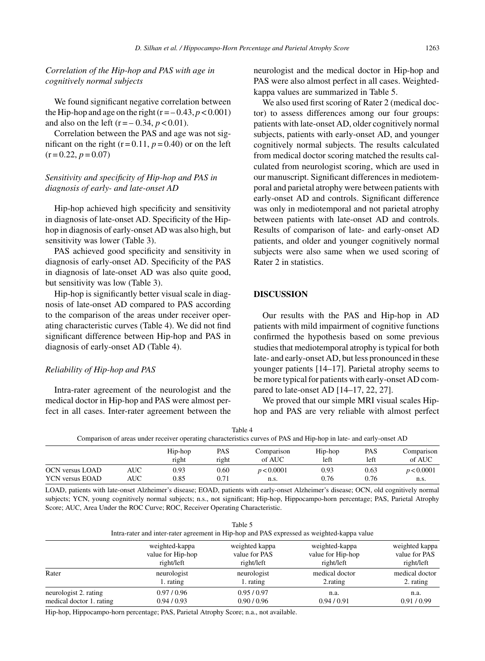## *Correlation of the Hip-hop and PAS with age in cognitively normal subjects*

We found significant negative correlation between the Hip-hop and age on the right  $(r = -0.43, p < 0.001)$ and also on the left  $(r = -0.34, p < 0.01)$ .

Correlation between the PAS and age was not significant on the right  $(r=0.11, p=0.40)$  or on the left  $(r = 0.22, p = 0.07)$ 

## *Sensitivity and specificity of Hip-hop and PAS in diagnosis of early- and late-onset AD*

Hip-hop achieved high specificity and sensitivity in diagnosis of late-onset AD. Specificity of the Hiphop in diagnosis of early-onset AD was also high, but sensitivity was lower (Table 3).

PAS achieved good specificity and sensitivity in diagnosis of early-onset AD. Specificity of the PAS in diagnosis of late-onset AD was also quite good, but sensitivity was low (Table 3).

Hip-hop is significantly better visual scale in diagnosis of late-onset AD compared to PAS according to the comparison of the areas under receiver operating characteristic curves (Table 4). We did not find significant difference between Hip-hop and PAS in diagnosis of early-onset AD (Table 4).

#### *Reliability of Hip-hop and PAS*

Intra-rater agreement of the neurologist and the medical doctor in Hip-hop and PAS were almost perfect in all cases. Inter-rater agreement between the neurologist and the medical doctor in Hip-hop and PAS were also almost perfect in all cases. Weightedkappa values are summarized in Table 5.

We also used first scoring of Rater 2 (medical doctor) to assess differences among our four groups: patients with late-onset AD, older cognitively normal subjects, patients with early-onset AD, and younger cognitively normal subjects. The results calculated from medical doctor scoring matched the results calculated from neurologist scoring, which are used in our manuscript. Significant differences in mediotemporal and parietal atrophy were between patients with early-onset AD and controls. Significant difference was only in mediotemporal and not parietal atrophy between patients with late-onset AD and controls. Results of comparison of late- and early-onset AD patients, and older and younger cognitively normal subjects were also same when we used scoring of Rater 2 in statistics.

#### **DISCUSSION**

Our results with the PAS and Hip-hop in AD patients with mild impairment of cognitive functions confirmed the hypothesis based on some previous studies that mediotemporal atrophy is typical for both late- and early-onset AD, but less pronounced in these younger patients [14–17]. Parietal atrophy seems to be more typical for patients with early-onset AD compared to late-onset AD [14–17, 22, 27].

We proved that our simple MRI visual scales Hiphop and PAS are very reliable with almost perfect

| Table 4                                                                                                            |  |
|--------------------------------------------------------------------------------------------------------------------|--|
| Comparison of areas under receiver operating characteristics curves of PAS and Hip-hop in late- and early-onset AD |  |

|                        |            | Hip-hop | PAS   | Comparison | Hip-hop | <b>PAS</b> | Comparison |
|------------------------|------------|---------|-------|------------|---------|------------|------------|
|                        |            | right   | right | of AUC     | left    | left       | of AUC     |
| OCN versus LOAD        | <b>AUC</b> | 0.93    | 0.60  | p < 0.0001 | 0.93    | 0.63       | p < 0.0001 |
| <b>YCN</b> versus EOAD | AUC        | 0.85    | 0.71  | n.s.       | 0.76    | 0.76       | n.s.       |

LOAD, patients with late-onset Alzheimer's disease; EOAD, patients with early-onset Alzheimer's disease; OCN, old cognitively normal subjects; YCN, young cognitively normal subjects; n.s., not significant; Hip-hop, Hippocampo-horn percentage; PAS, Parietal Atrophy Score; AUC, Area Under the ROC Curve; ROC, Receiver Operating Characteristic.

| Table 5                                                                                    |
|--------------------------------------------------------------------------------------------|
| Intra-rater and inter-rater agreement in Hip-hop and PAS expressed as weighted-kappa value |

|                          | weighted-kappa    | weighted kappa | weighted-kappa    | weighted kappa |
|--------------------------|-------------------|----------------|-------------------|----------------|
|                          | value for Hip-hop | value for PAS  | value for Hip-hop | value for PAS  |
|                          | right/left        | right/left     | right/left        | right/left     |
| Rater                    | neurologist       | neurologist    | medical doctor    | medical doctor |
|                          | 1. rating         | 1. rating      | 2. rating         | 2. rating      |
| neurologist 2. rating    | 0.97/0.96         | 0.95/0.97      | n.a.              | n.a.           |
| medical doctor 1. rating | 0.94/0.93         | 0.90/0.96      | 0.94/0.91         | 0.91/0.99      |

Hip-hop, Hippocampo-horn percentage; PAS, Parietal Atrophy Score; n.a., not available.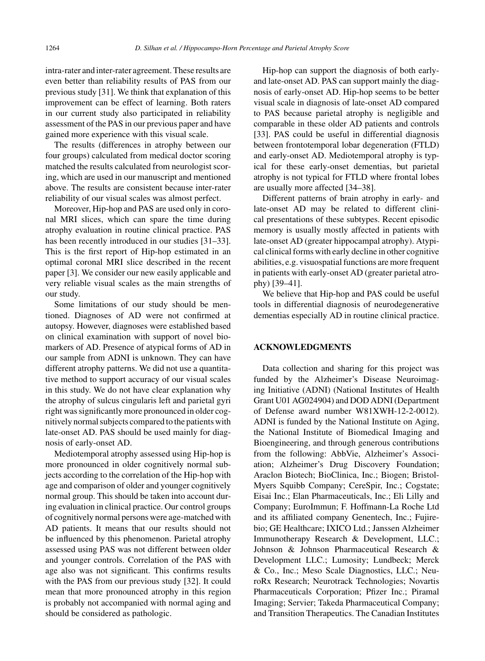intra-rater and inter-rater agreement. These results are even better than reliability results of PAS from our previous study [31]. We think that explanation of this improvement can be effect of learning. Both raters in our current study also participated in reliability assessment of the PAS in our previous paper and have gained more experience with this visual scale.

The results (differences in atrophy between our four groups) calculated from medical doctor scoring matched the results calculated from neurologist scoring, which are used in our manuscript and mentioned above. The results are consistent because inter-rater reliability of our visual scales was almost perfect.

Moreover, Hip-hop and PAS are used only in coronal MRI slices, which can spare the time during atrophy evaluation in routine clinical practice. PAS has been recently introduced in our studies [31–33]. This is the first report of Hip-hop estimated in an optimal coronal MRI slice described in the recent paper [3]. We consider our new easily applicable and very reliable visual scales as the main strengths of our study.

Some limitations of our study should be mentioned. Diagnoses of AD were not confirmed at autopsy. However, diagnoses were established based on clinical examination with support of novel biomarkers of AD. Presence of atypical forms of AD in our sample from ADNI is unknown. They can have different atrophy patterns. We did not use a quantitative method to support accuracy of our visual scales in this study. We do not have clear explanation why the atrophy of sulcus cingularis left and parietal gyri right was significantly more pronounced in older cognitively normal subjects compared to the patients with late-onset AD. PAS should be used mainly for diagnosis of early-onset AD.

Mediotemporal atrophy assessed using Hip-hop is more pronounced in older cognitively normal subjects according to the correlation of the Hip-hop with age and comparison of older and younger cognitively normal group. This should be taken into account during evaluation in clinical practice. Our control groups of cognitively normal persons were age-matched with AD patients. It means that our results should not be influenced by this phenomenon. Parietal atrophy assessed using PAS was not different between older and younger controls. Correlation of the PAS with age also was not significant. This confirms results with the PAS from our previous study [32]. It could mean that more pronounced atrophy in this region is probably not accompanied with normal aging and should be considered as pathologic.

Hip-hop can support the diagnosis of both earlyand late-onset AD. PAS can support mainly the diagnosis of early-onset AD. Hip-hop seems to be better visual scale in diagnosis of late-onset AD compared to PAS because parietal atrophy is negligible and comparable in these older AD patients and controls [33]. PAS could be useful in differential diagnosis between frontotemporal lobar degeneration (FTLD) and early-onset AD. Mediotemporal atrophy is typical for these early-onset dementias, but parietal atrophy is not typical for FTLD where frontal lobes are usually more affected [34–38].

Different patterns of brain atrophy in early- and late-onset AD may be related to different clinical presentations of these subtypes. Recent episodic memory is usually mostly affected in patients with late-onset AD (greater hippocampal atrophy). Atypical clinical forms with early decline in other cognitive abilities, e.g. visuospatial functions are more frequent in patients with early-onset AD (greater parietal atrophy) [39–41].

We believe that Hip-hop and PAS could be useful tools in differential diagnosis of neurodegenerative dementias especially AD in routine clinical practice.

## **ACKNOWLEDGMENTS**

Data collection and sharing for this project was funded by the Alzheimer's Disease Neuroimaging Initiative (ADNI) (National Institutes of Health Grant U01 AG024904) and DOD ADNI (Department of Defense award number W81XWH-12-2-0012). ADNI is funded by the National Institute on Aging, the National Institute of Biomedical Imaging and Bioengineering, and through generous contributions from the following: AbbVie, Alzheimer's Association; Alzheimer's Drug Discovery Foundation; Araclon Biotech; BioClinica, Inc.; Biogen; Bristol-Myers Squibb Company; CereSpir, Inc.; Cogstate; Eisai Inc.; Elan Pharmaceuticals, Inc.; Eli Lilly and Company; EuroImmun; F. Hoffmann-La Roche Ltd and its affiliated company Genentech, Inc.; Fujirebio; GE Healthcare; IXICO Ltd.; Janssen Alzheimer Immunotherapy Research & Development, LLC.; Johnson & Johnson Pharmaceutical Research & Development LLC.; Lumosity; Lundbeck; Merck & Co., Inc.; Meso Scale Diagnostics, LLC.; NeuroRx Research; Neurotrack Technologies; Novartis Pharmaceuticals Corporation; Pfizer Inc.; Piramal Imaging; Servier; Takeda Pharmaceutical Company; and Transition Therapeutics. The Canadian Institutes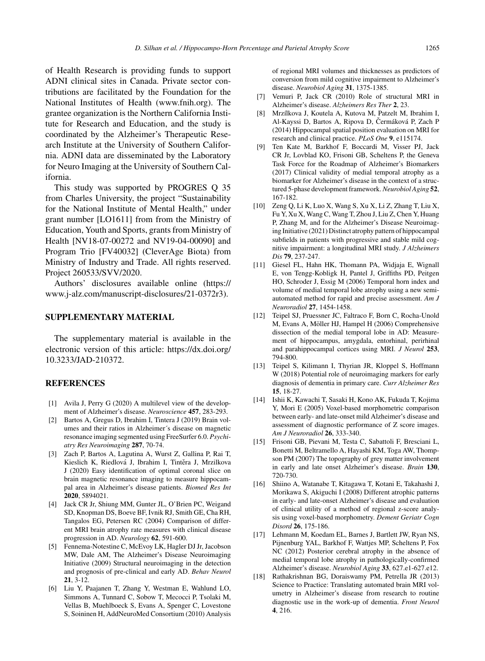of Health Research is providing funds to support ADNI clinical sites in Canada. Private sector contributions are facilitated by the Foundation for the National Institutes of Health [\(www.fnih.org](www.fnih.org)). The grantee organization is the Northern California Institute for Research and Education, and the study is coordinated by the Alzheimer's Therapeutic Research Institute at the University of Southern California. ADNI data are disseminated by the Laboratory for Neuro Imaging at the University of Southern California.

This study was supported by PROGRES Q 35 from Charles University, the project "Sustainability for the National Institute of Mental Health," under grant number [LO1611] from from the Ministry of Education, Youth and Sports, grants from Ministry of Health [NV18-07-00272 and NV19-04-00090] and Program Trio [FV40032] (CleverAge Biota) from Ministry of Industry and Trade. All rights reserved. Project 260533/SVV/2020.

Authors' disclosures available online ([https://](https://www.j-alz.com/manuscript-disclosures/21-0372r3) [www.j-alz.com/manuscript-disclosures/21-0372r3\)](https://www.j-alz.com/manuscript-disclosures/21-0372r3).

#### **SUPPLEMENTARY MATERIAL**

The supplementary material is available in the electronic version of this article: [https://dx.doi.org/](https://dx.doi.org/10.3233/JAD-210372) 10.3233/JAD-210372.

#### **REFERENCES**

- [1] Avila J, Perry G (2020) A multilevel view of the development of Alzheimer's disease. *Neuroscience* **457**, 283-293.
- [2] Bartos A, Gregus D, Ibrahim I, Tintera J (2019) Brain volumes and their ratios in Alzheimer´s disease on magnetic resonance imaging segmented using FreeSurfer 6.0. *Psychiatry Res Neuroimaging* **287**, 70-74.
- [3] Zach P, Bartos A, Lagutina A, Wurst Z, Gallina P, Rai T, Kieslich K, Riedlová J, Ibrahim I, Tintěra J, Mrzilkova J (2020) Easy identification of optimal coronal slice on brain magnetic resonance imaging to measure hippocampal area in Alzheimer's disease patients. *Biomed Res Int* **2020**, 5894021.
- [4] Jack CR Jr, Shiung MM, Gunter JL, O'Brien PC, Weigand SD, Knopman DS, Boeve BF, Ivnik RJ, Smith GE, Cha RH, Tangalos EG, Petersen RC (2004) Comparison of different MRI brain atrophy rate measures with clinical disease progression in AD. *Neurology* **62**, 591-600.
- [5] Fennema-Notestine C, McEvoy LK, Hagler DJ Jr, Jacobson MW, Dale AM, The Alzheimer's Disease Neuroimaging Initiative (2009) Structural neuroimaging in the detection and prognosis of pre-clinical and early AD. *Behav Neurol* **21**, 3-12.
- [6] Liu Y, Paajanen T, Zhang Y, Westman E, Wahlund LO, Simmons A, Tunnard C, Sobow T, Mecocci P, Tsolaki M, Vellas B, Muehlboeck S, Evans A, Spenger C, Lovestone S, Soininen H, AddNeuroMed Consortium (2010) Analysis

of regional MRI volumes and thicknesses as predictors of conversion from mild cognitive impairment to Alzheimer's disease. *Neurobiol Aging* **31**, 1375-1385.

- [7] Vemuri P, Jack CR (2010) Role of structural MRI in Alzheimer's disease. *Alzheimers Res Ther* **2**, 23.
- [8] Mrzílkova J, Koutela A, Kutova M, Patzelt M, Ibrahim I, Al-Kayssi D, Bartos A, Ripova D, Čermáková P, Zach P (2014) Hippocampal spatial position evaluation on MRI for research and clinical practice. *PLoS One* **9**, e115174.
- [9] Ten Kate M, Barkhof F, Boccardi M, Visser PJ, Jack CR Jr, Lovblad KO, Frisoni GB, Scheltens P, the Geneva Task Force for the Roadmap of Alzheimer's Biomarkers (2017) Clinical validity of medial temporal atrophy as a biomarker for Alzheimer's disease in the context of a structured 5-phase development framework.*Neurobiol Aging* **52**, 167-182.
- [10] Zeng Q, Li K, Luo X, Wang S, Xu X, Li Z, Zhang T, Liu X, Fu Y, Xu X, Wang C, Wang T, Zhou J, Liu Z, Chen Y, Huang P, Zhang M, and for the Alzheimer's Disease Neuroimaging Initiative (2021) Distinct atrophy pattern of hippocampal subfields in patients with progressive and stable mild cognitive impairment: a longitudinal MRI study. *J Alzheimers Dis* **79**, 237-247.
- [11] Giesel FL, Hahn HK, Thomann PA, Widjaja E, Wignall E, von Tengg-Kobligk H, Pantel J, Griffiths PD, Peitgen HO, Schroder J, Essig M (2006) Temporal horn index and volume of medial temporal lobe atrophy using a new semiautomated method for rapid and precise assessment. *Am J Neuroradiol* **27**, 1454-1458.
- [12] Teipel SJ, Pruessner JC, Faltraco F, Born C, Rocha-Unold M, Evans A, Möller HJ, Hampel H (2006) Comprehensive dissection of the medial temporal lobe in AD: Measurement of hippocampus, amygdala, entorhinal, perirhinal and parahippocampal cortices using MRI. *J Neurol* **253**, 794-800.
- [13] Teipel S, Kilimann I, Thyrian JR, Kloppel S, Hoffmann W (2018) Potential role of neuroimaging markers for early diagnosis of dementia in primary care. *Curr Alzheimer Res* **15**, 18-27.
- [14] Ishii K, Kawachi T, Sasaki H, Kono AK, Fukuda T, Kojima Y, Mori E (2005) Voxel-based morphometric comparison between early- and late-onset mild Alzheimer's disease and assessment of diagnostic performance of Z score images. *Am J Neuroradiol* **26**, 333-340.
- [15] Frisoni GB, Pievani M, Testa C, Sabattoli F, Bresciani L, Bonetti M, Beltramello A, Hayashi KM, Toga AW, Thompson PM (2007) The topography of grey matter involvement in early and late onset Alzheimer's disease. *Brain* **130**, 720-730.
- [16] Shiino A, Watanabe T, Kitagawa T, Kotani E, Takahashi J, Morikawa S, Akiguchi I (2008) Different atrophic patterns in early- and late-onset Alzheimer's disease and evaluation of clinical utility of a method of regional z-score analysis using voxel-based morphometry. *Dement Geriatr Cogn Disord* **26**, 175-186.
- [17] Lehmann M, Koedam EL, Barnes J, Bartlett JW, Ryan NS, Pijnenburg YAL, Barkhof F, Wattjes MP, Scheltens P, Fox NC (2012) Posterior cerebral atrophy in the absence of medial temporal lobe atrophy in pathologically-confirmed Alzheimer's disease. *Neurobiol Aging* **33**, 627.e1-627.e12.
- [18] Rathakrishnan BG, Doraiswamy PM, Petrella JR (2013) Science to Practice: Translating automated brain MRI volumetry in Alzheimer's disease from research to routine diagnostic use in the work-up of dementia. *Front Neurol* **4**, 216.